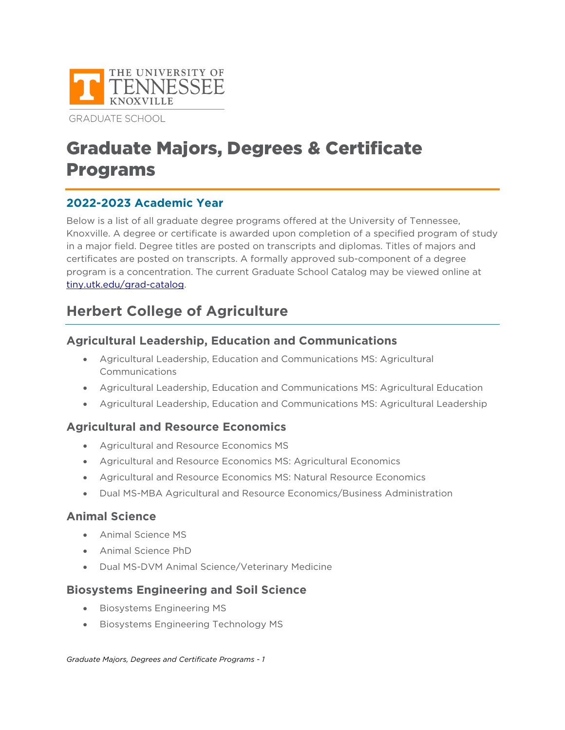

**GRADUATE SCHOOL** 

# Graduate Majors, Degrees & Certificate Programs

## **2022-2023 Academic Year**

Below is a list of all graduate degree programs offered at the University of Tennessee, Knoxville. A degree or certificate is awarded upon completion of a specified program of study in a major field. Degree titles are posted on transcripts and diplomas. Titles of majors and certificates are posted on transcripts. A formally approved sub-component of a degree program is a concentration. The current Graduate School Catalog may be viewed online at [tiny.utk.edu/grad-catalog.](https://tiny.utk.edu/grad-catalog)

## **Herbert College of Agriculture**

## **Agricultural Leadership, Education and Communications**

- Agricultural Leadership, Education and Communications MS: Agricultural Communications
- Agricultural Leadership, Education and Communications MS: Agricultural Education
- Agricultural Leadership, Education and Communications MS: Agricultural Leadership

## **Agricultural and Resource Economics**

- Agricultural and Resource Economics MS
- Agricultural and Resource Economics MS: Agricultural Economics
- Agricultural and Resource Economics MS: Natural Resource Economics
- Dual MS-MBA Agricultural and Resource Economics/Business Administration

## **Animal Science**

- Animal Science MS
- Animal Science PhD
- Dual MS-DVM Animal Science/Veterinary Medicine

## **Biosystems Engineering and Soil Science**

- Biosystems Engineering MS
- Biosystems Engineering Technology MS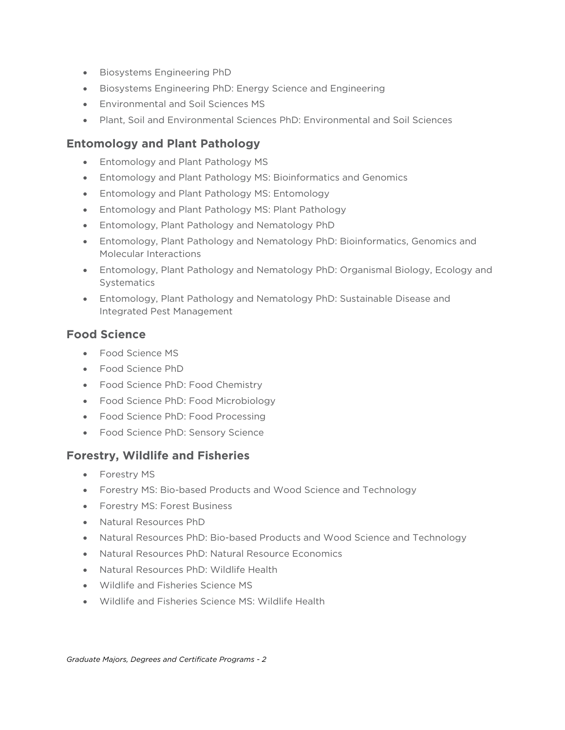- Biosystems Engineering PhD
- Biosystems Engineering PhD: Energy Science and Engineering
- Environmental and Soil Sciences MS
- Plant, Soil and Environmental Sciences PhD: Environmental and Soil Sciences

#### **Entomology and Plant Pathology**

- Entomology and Plant Pathology MS
- Entomology and Plant Pathology MS: Bioinformatics and Genomics
- Entomology and Plant Pathology MS: Entomology
- Entomology and Plant Pathology MS: Plant Pathology
- Entomology, Plant Pathology and Nematology PhD
- Entomology, Plant Pathology and Nematology PhD: Bioinformatics, Genomics and Molecular Interactions
- Entomology, Plant Pathology and Nematology PhD: Organismal Biology, Ecology and **Systematics**
- Entomology, Plant Pathology and Nematology PhD: Sustainable Disease and Integrated Pest Management

#### **Food Science**

- Food Science MS
- Food Science PhD
- Food Science PhD: Food Chemistry
- Food Science PhD: Food Microbiology
- Food Science PhD: Food Processing
- Food Science PhD: Sensory Science

#### **Forestry, Wildlife and Fisheries**

- Forestry MS
- Forestry MS: Bio-based Products and Wood Science and Technology
- Forestry MS: Forest Business
- Natural Resources PhD
- Natural Resources PhD: Bio-based Products and Wood Science and Technology
- Natural Resources PhD: Natural Resource Economics
- Natural Resources PhD: Wildlife Health
- Wildlife and Fisheries Science MS
- Wildlife and Fisheries Science MS: Wildlife Health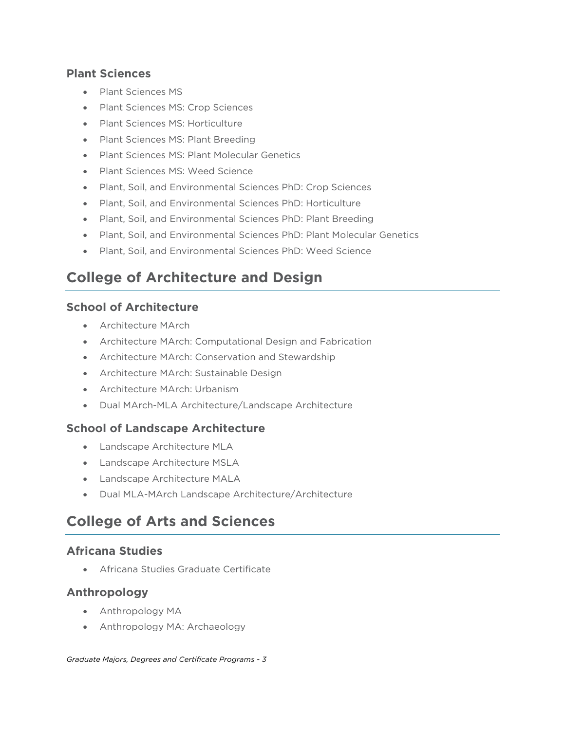#### **Plant Sciences**

- Plant Sciences MS
- Plant Sciences MS: Crop Sciences
- Plant Sciences MS: Horticulture
- Plant Sciences MS: Plant Breeding
- Plant Sciences MS: Plant Molecular Genetics
- Plant Sciences MS: Weed Science
- Plant, Soil, and Environmental Sciences PhD: Crop Sciences
- Plant, Soil, and Environmental Sciences PhD: Horticulture
- Plant, Soil, and Environmental Sciences PhD: Plant Breeding
- Plant, Soil, and Environmental Sciences PhD: Plant Molecular Genetics
- Plant, Soil, and Environmental Sciences PhD: Weed Science

## **College of Architecture and Design**

#### **School of Architecture**

- Architecture MArch
- Architecture MArch: Computational Design and Fabrication
- Architecture MArch: Conservation and Stewardship
- Architecture MArch: Sustainable Design
- Architecture MArch: Urbanism
- Dual MArch-MLA Architecture/Landscape Architecture

## **School of Landscape Architecture**

- Landscape Architecture MLA
- Landscape Architecture MSLA
- Landscape Architecture MALA
- Dual MLA-MArch Landscape Architecture/Architecture

## **College of Arts and Sciences**

## **Africana Studies**

• Africana Studies Graduate Certificate

## **Anthropology**

- Anthropology MA
- Anthropology MA: Archaeology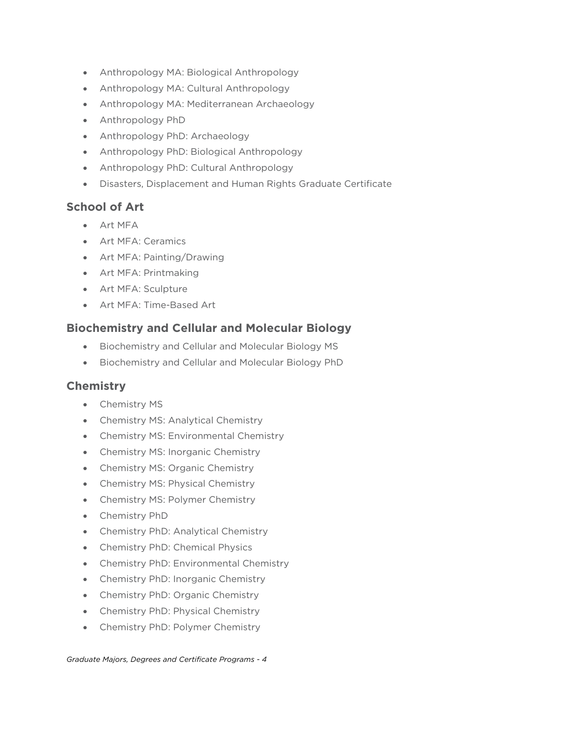- Anthropology MA: Biological Anthropology
- Anthropology MA: Cultural Anthropology
- Anthropology MA: Mediterranean Archaeology
- Anthropology PhD
- Anthropology PhD: Archaeology
- Anthropology PhD: Biological Anthropology
- Anthropology PhD: Cultural Anthropology
- Disasters, Displacement and Human Rights Graduate Certificate

#### **School of Art**

- Art MFA
- Art MFA: Ceramics
- Art MFA: Painting/Drawing
- Art MFA: Printmaking
- Art MFA: Sculpture
- Art MFA: Time-Based Art

#### **Biochemistry and Cellular and Molecular Biology**

- Biochemistry and Cellular and Molecular Biology MS
- Biochemistry and Cellular and Molecular Biology PhD

#### **Chemistry**

- Chemistry MS
- Chemistry MS: Analytical Chemistry
- Chemistry MS: Environmental Chemistry
- Chemistry MS: Inorganic Chemistry
- Chemistry MS: Organic Chemistry
- Chemistry MS: Physical Chemistry
- Chemistry MS: Polymer Chemistry
- Chemistry PhD
- Chemistry PhD: Analytical Chemistry
- Chemistry PhD: Chemical Physics
- Chemistry PhD: Environmental Chemistry
- Chemistry PhD: Inorganic Chemistry
- Chemistry PhD: Organic Chemistry
- Chemistry PhD: Physical Chemistry
- Chemistry PhD: Polymer Chemistry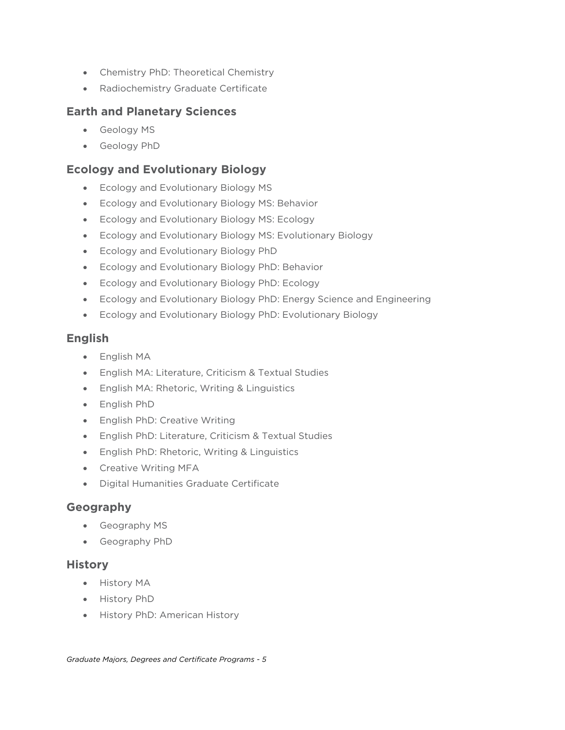- Chemistry PhD: Theoretical Chemistry
- Radiochemistry Graduate Certificate

#### **Earth and Planetary Sciences**

- Geology MS
- Geology PhD

#### **Ecology and Evolutionary Biology**

- Ecology and Evolutionary Biology MS
- Ecology and Evolutionary Biology MS: Behavior
- Ecology and Evolutionary Biology MS: Ecology
- Ecology and Evolutionary Biology MS: Evolutionary Biology
- Ecology and Evolutionary Biology PhD
- Ecology and Evolutionary Biology PhD: Behavior
- Ecology and Evolutionary Biology PhD: Ecology
- Ecology and Evolutionary Biology PhD: Energy Science and Engineering
- Ecology and Evolutionary Biology PhD: Evolutionary Biology

#### **English**

- English MA
- English MA: Literature, Criticism & Textual Studies
- English MA: Rhetoric, Writing & Linguistics
- English PhD
- English PhD: Creative Writing
- English PhD: Literature, Criticism & Textual Studies
- English PhD: Rhetoric, Writing & Linguistics
- Creative Writing MFA
- Digital Humanities Graduate Certificate

#### **Geography**

- Geography MS
- Geography PhD

#### **History**

- History MA
- History PhD
- History PhD: American History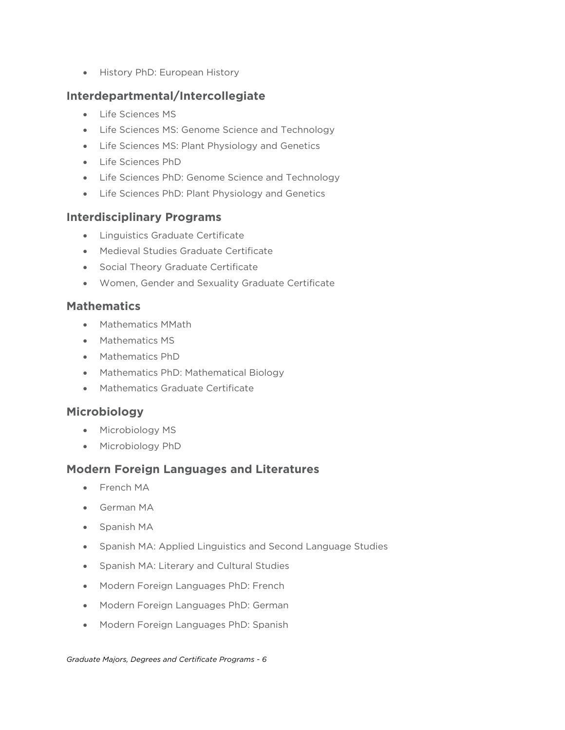• History PhD: European History

#### **Interdepartmental/Intercollegiate**

- Life Sciences MS
- Life Sciences MS: Genome Science and Technology
- Life Sciences MS: Plant Physiology and Genetics
- Life Sciences PhD
- Life Sciences PhD: Genome Science and Technology
- Life Sciences PhD: Plant Physiology and Genetics

#### **Interdisciplinary Programs**

- Linguistics Graduate Certificate
- Medieval Studies Graduate Certificate
- Social Theory Graduate Certificate
- Women, Gender and Sexuality Graduate Certificate

#### **Mathematics**

- Mathematics MMath
- Mathematics MS
- Mathematics PhD
- Mathematics PhD: Mathematical Biology
- Mathematics Graduate Certificate

## **Microbiology**

- Microbiology MS
- Microbiology PhD

## **Modern Foreign Languages and Literatures**

- French MA
- German MA
- Spanish MA
- Spanish MA: Applied Linguistics and Second Language Studies
- Spanish MA: Literary and Cultural Studies
- Modern Foreign Languages PhD: French
- Modern Foreign Languages PhD: German
- Modern Foreign Languages PhD: Spanish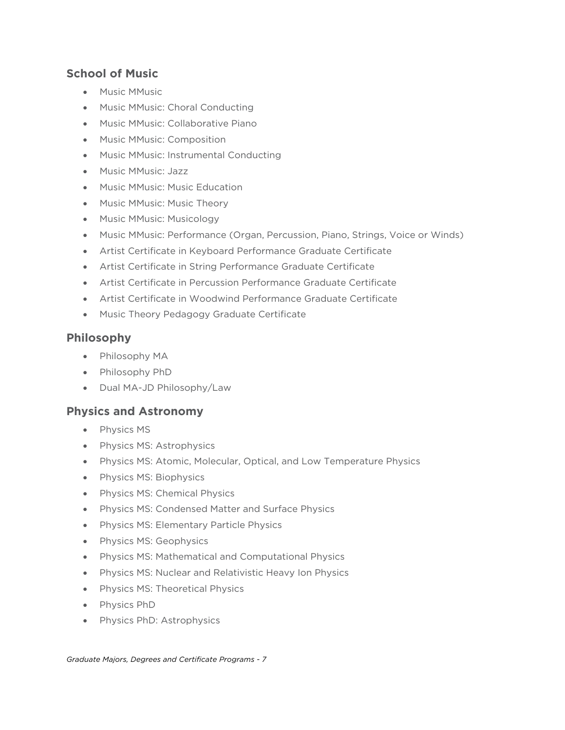## **School of Music**

- Music MMusic
- Music MMusic: Choral Conducting
- Music MMusic: Collaborative Piano
- Music MMusic: Composition
- Music MMusic: Instrumental Conducting
- Music MMusic: Jazz
- Music MMusic: Music Education
- Music MMusic: Music Theory
- Music MMusic: Musicology
- Music MMusic: Performance (Organ, Percussion, Piano, Strings, Voice or Winds)
- Artist Certificate in Keyboard Performance Graduate Certificate
- Artist Certificate in String Performance Graduate Certificate
- Artist Certificate in Percussion Performance Graduate Certificate
- Artist Certificate in Woodwind Performance Graduate Certificate
- Music Theory Pedagogy Graduate Certificate

#### **Philosophy**

- Philosophy MA
- Philosophy PhD
- Dual MA-JD Philosophy/Law

#### **Physics and Astronomy**

- Physics MS
- Physics MS: Astrophysics
- Physics MS: Atomic, Molecular, Optical, and Low Temperature Physics
- Physics MS: Biophysics
- Physics MS: Chemical Physics
- Physics MS: Condensed Matter and Surface Physics
- Physics MS: Elementary Particle Physics
- Physics MS: Geophysics
- Physics MS: Mathematical and Computational Physics
- Physics MS: Nuclear and Relativistic Heavy Ion Physics
- Physics MS: Theoretical Physics
- Physics PhD
- Physics PhD: Astrophysics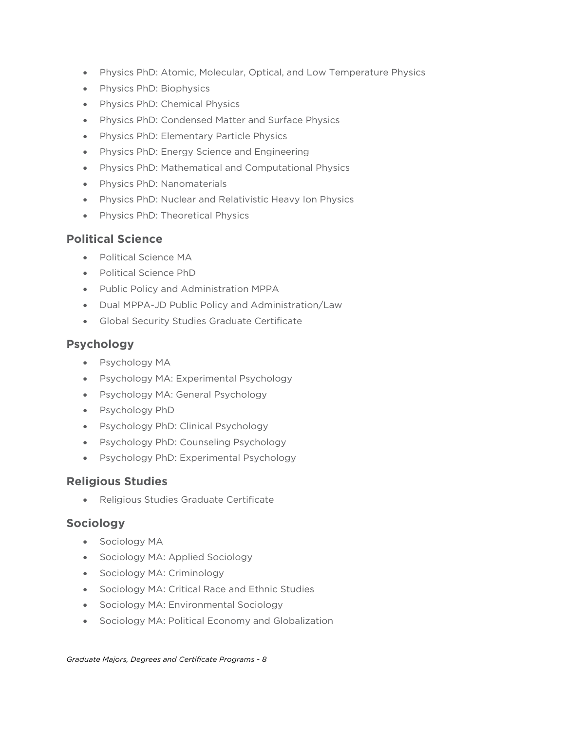- Physics PhD: Atomic, Molecular, Optical, and Low Temperature Physics
- Physics PhD: Biophysics
- Physics PhD: Chemical Physics
- Physics PhD: Condensed Matter and Surface Physics
- Physics PhD: Elementary Particle Physics
- Physics PhD: Energy Science and Engineering
- Physics PhD: Mathematical and Computational Physics
- Physics PhD: Nanomaterials
- Physics PhD: Nuclear and Relativistic Heavy Ion Physics
- Physics PhD: Theoretical Physics

#### **Political Science**

- Political Science MA
- Political Science PhD
- Public Policy and Administration MPPA
- Dual MPPA-JD Public Policy and Administration/Law
- Global Security Studies Graduate Certificate

#### **Psychology**

- Psychology MA
- Psychology MA: Experimental Psychology
- Psychology MA: General Psychology
- Psychology PhD
- Psychology PhD: Clinical Psychology
- Psychology PhD: Counseling Psychology
- Psychology PhD: Experimental Psychology

#### **Religious Studies**

• Religious Studies Graduate Certificate

#### **Sociology**

- Sociology MA
- Sociology MA: Applied Sociology
- Sociology MA: Criminology
- Sociology MA: Critical Race and Ethnic Studies
- Sociology MA: Environmental Sociology
- Sociology MA: Political Economy and Globalization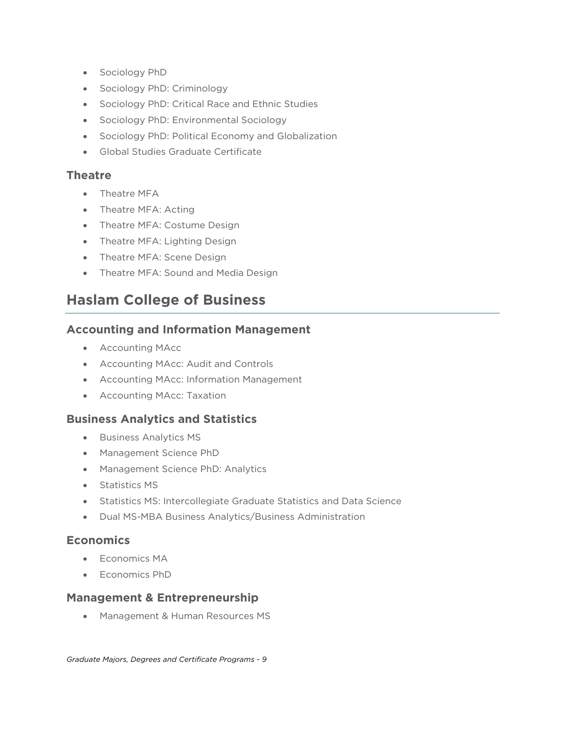- Sociology PhD
- Sociology PhD: Criminology
- Sociology PhD: Critical Race and Ethnic Studies
- Sociology PhD: Environmental Sociology
- Sociology PhD: Political Economy and Globalization
- Global Studies Graduate Certificate

#### **Theatre**

- Theatre MFA
- Theatre MFA: Acting
- Theatre MFA: Costume Design
- Theatre MFA: Lighting Design
- Theatre MFA: Scene Design
- Theatre MFA: Sound and Media Design

## **Haslam College of Business**

#### **Accounting and Information Management**

- Accounting MAcc
- Accounting MAcc: Audit and Controls
- Accounting MAcc: Information Management
- Accounting MAcc: Taxation

## **Business Analytics and Statistics**

- Business Analytics MS
- Management Science PhD
- Management Science PhD: Analytics
- Statistics MS
- Statistics MS: Intercollegiate Graduate Statistics and Data Science
- Dual MS-MBA Business Analytics/Business Administration

## **Economics**

- Economics MA
- Economics PhD

#### **Management & Entrepreneurship**

• Management & Human Resources MS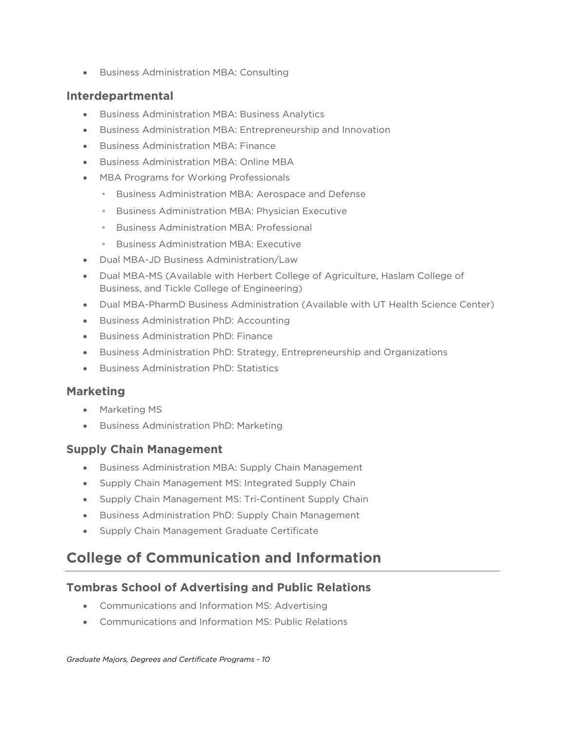• Business Administration MBA: Consulting

#### **Interdepartmental**

- Business Administration MBA: Business Analytics
- Business Administration MBA: Entrepreneurship and Innovation
- Business Administration MBA: Finance
- Business Administration MBA: Online MBA
- MBA Programs for Working Professionals
	- Business Administration MBA: Aerospace and Defense
	- Business Administration MBA: Physician Executive
	- Business Administration MBA: Professional
	- Business Administration MBA: Executive
- Dual MBA-JD Business Administration/Law
- Dual MBA-MS (Available with Herbert College of Agriculture, Haslam College of Business, and Tickle College of Engineering)
- Dual MBA-PharmD Business Administration (Available with UT Health Science Center)
- Business Administration PhD: Accounting
- Business Administration PhD: Finance
- Business Administration PhD: Strategy, Entrepreneurship and Organizations
- Business Administration PhD: Statistics

#### **Marketing**

- Marketing MS
- Business Administration PhD: Marketing

#### **Supply Chain Management**

- Business Administration MBA: Supply Chain Management
- Supply Chain Management MS: Integrated Supply Chain
- Supply Chain Management MS: Tri-Continent Supply Chain
- Business Administration PhD: Supply Chain Management
- Supply Chain Management Graduate Certificate

## **College of Communication and Information**

## **Tombras School of Advertising and Public Relations**

- Communications and Information MS: Advertising
- Communications and Information MS: Public Relations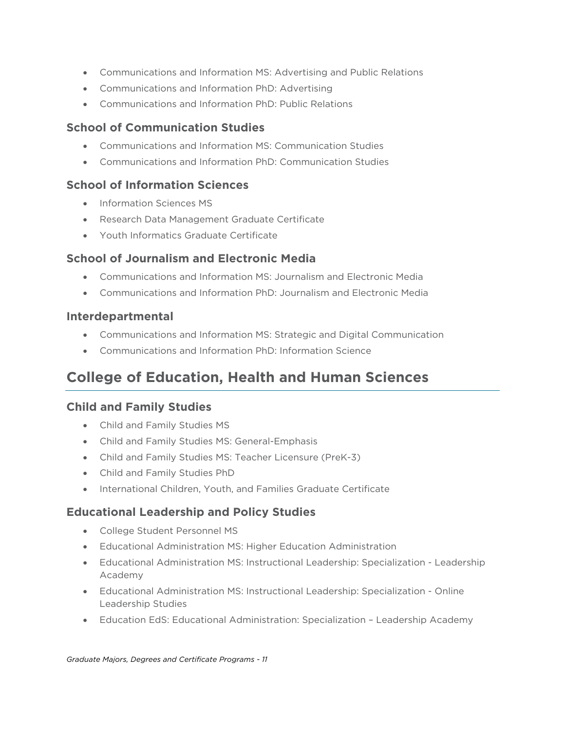- Communications and Information MS: Advertising and Public Relations
- Communications and Information PhD: Advertising
- Communications and Information PhD: Public Relations

#### **School of Communication Studies**

- Communications and Information MS: Communication Studies
- Communications and Information PhD: Communication Studies

#### **School of Information Sciences**

- Information Sciences MS
- Research Data Management Graduate Certificate
- Youth Informatics Graduate Certificate

## **School of Journalism and Electronic Media**

- Communications and Information MS: Journalism and Electronic Media
- Communications and Information PhD: Journalism and Electronic Media

#### **Interdepartmental**

- Communications and Information MS: Strategic and Digital Communication
- Communications and Information PhD: Information Science

## **College of Education, Health and Human Sciences**

## **Child and Family Studies**

- Child and Family Studies MS
- Child and Family Studies MS: General-Emphasis
- Child and Family Studies MS: Teacher Licensure (PreK-3)
- Child and Family Studies PhD
- International Children, Youth, and Families Graduate Certificate

## **Educational Leadership and Policy Studies**

- College Student Personnel MS
- Educational Administration MS: Higher Education Administration
- Educational Administration MS: Instructional Leadership: Specialization Leadership Academy
- Educational Administration MS: Instructional Leadership: Specialization Online Leadership Studies
- Education EdS: Educational Administration: Specialization Leadership Academy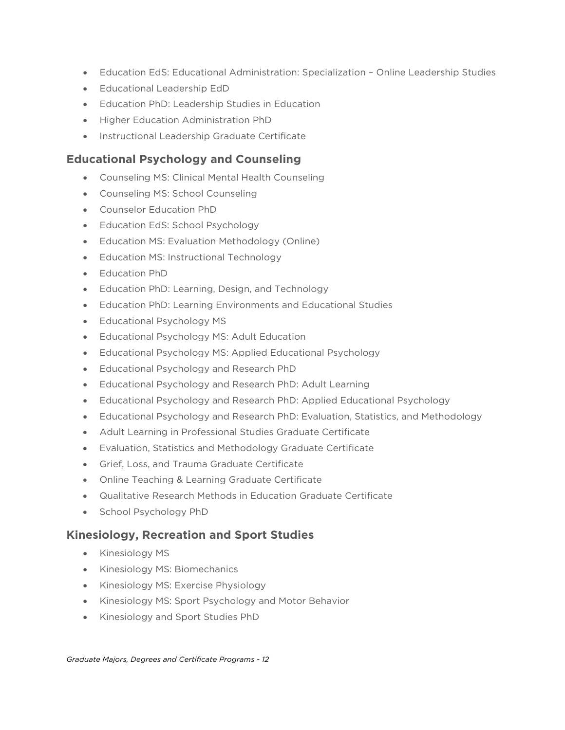- Education EdS: Educational Administration: Specialization Online Leadership Studies
- Educational Leadership EdD
- Education PhD: Leadership Studies in Education
- Higher Education Administration PhD
- Instructional Leadership Graduate Certificate

## **Educational Psychology and Counseling**

- Counseling MS: Clinical Mental Health Counseling
- Counseling MS: School Counseling
- Counselor Education PhD
- Education EdS: School Psychology
- Education MS: Evaluation Methodology (Online)
- Education MS: Instructional Technology
- Education PhD
- Education PhD: Learning, Design, and Technology
- Education PhD: Learning Environments and Educational Studies
- Educational Psychology MS
- Educational Psychology MS: Adult Education
- Educational Psychology MS: Applied Educational Psychology
- Educational Psychology and Research PhD
- Educational Psychology and Research PhD: Adult Learning
- Educational Psychology and Research PhD: Applied Educational Psychology
- Educational Psychology and Research PhD: Evaluation, Statistics, and Methodology
- Adult Learning in Professional Studies Graduate Certificate
- Evaluation, Statistics and Methodology Graduate Certificate
- Grief, Loss, and Trauma Graduate Certificate
- Online Teaching & Learning Graduate Certificate
- Qualitative Research Methods in Education Graduate Certificate
- School Psychology PhD

## **Kinesiology, Recreation and Sport Studies**

- Kinesiology MS
- Kinesiology MS: Biomechanics
- Kinesiology MS: Exercise Physiology
- Kinesiology MS: Sport Psychology and Motor Behavior
- Kinesiology and Sport Studies PhD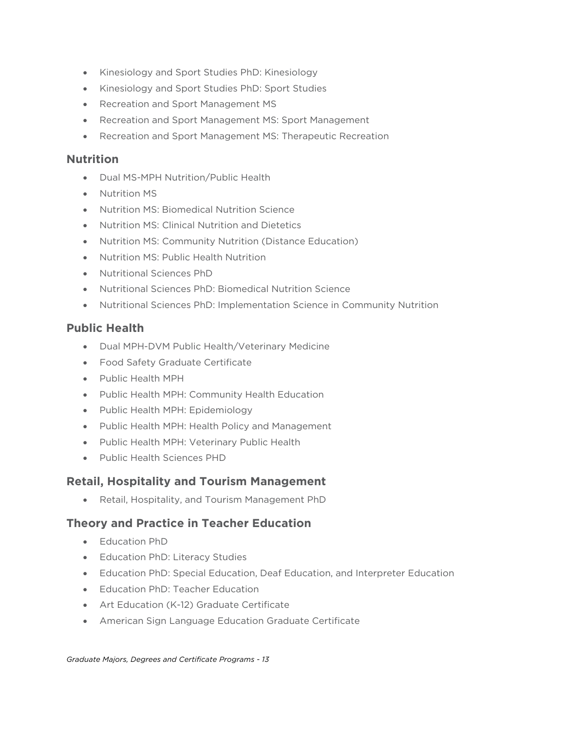- Kinesiology and Sport Studies PhD: Kinesiology
- Kinesiology and Sport Studies PhD: Sport Studies
- Recreation and Sport Management MS
- Recreation and Sport Management MS: Sport Management
- Recreation and Sport Management MS: Therapeutic Recreation

#### **Nutrition**

- Dual MS-MPH Nutrition/Public Health
- Nutrition MS
- Nutrition MS: Biomedical Nutrition Science
- Nutrition MS: Clinical Nutrition and Dietetics
- Nutrition MS: Community Nutrition (Distance Education)
- Nutrition MS: Public Health Nutrition
- Nutritional Sciences PhD
- Nutritional Sciences PhD: Biomedical Nutrition Science
- Nutritional Sciences PhD: Implementation Science in Community Nutrition

#### **Public Health**

- Dual MPH-DVM Public Health/Veterinary Medicine
- Food Safety Graduate Certificate
- Public Health MPH
- Public Health MPH: Community Health Education
- Public Health MPH: Epidemiology
- Public Health MPH: Health Policy and Management
- Public Health MPH: Veterinary Public Health
- Public Health Sciences PHD

## **Retail, Hospitality and Tourism Management**

• Retail, Hospitality, and Tourism Management PhD

## **Theory and Practice in Teacher Education**

- Education PhD
- Education PhD: Literacy Studies
- Education PhD: Special Education, Deaf Education, and Interpreter Education
- Education PhD: Teacher Education
- Art Education (K-12) Graduate Certificate
- American Sign Language Education Graduate Certificate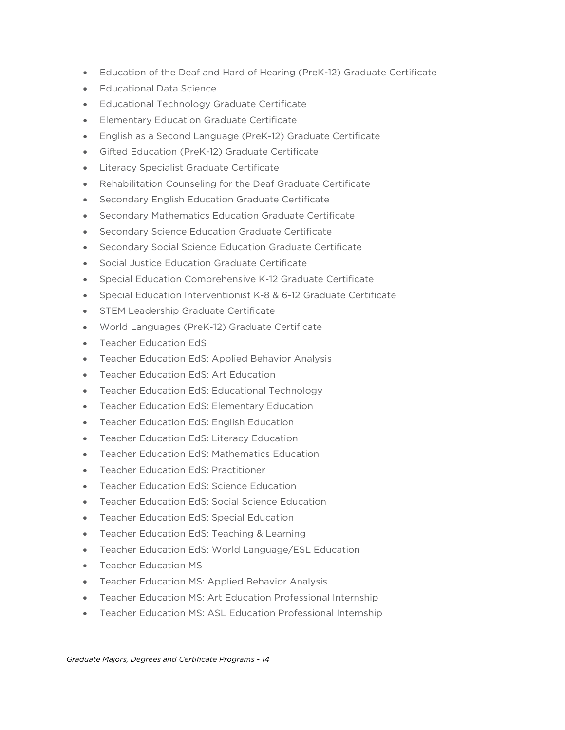- Education of the Deaf and Hard of Hearing (PreK-12) Graduate Certificate
- Educational Data Science
- Educational Technology Graduate Certificate
- Elementary Education Graduate Certificate
- English as a Second Language (PreK-12) Graduate Certificate
- Gifted Education (PreK-12) Graduate Certificate
- Literacy Specialist Graduate Certificate
- Rehabilitation Counseling for the Deaf Graduate Certificate
- Secondary English Education Graduate Certificate
- Secondary Mathematics Education Graduate Certificate
- Secondary Science Education Graduate Certificate
- Secondary Social Science Education Graduate Certificate
- Social Justice Education Graduate Certificate
- Special Education Comprehensive K-12 Graduate Certificate
- Special Education Interventionist K-8 & 6-12 Graduate Certificate
- STEM Leadership Graduate Certificate
- World Languages (PreK-12) Graduate Certificate
- Teacher Education EdS
- Teacher Education EdS: Applied Behavior Analysis
- Teacher Education EdS: Art Education
- Teacher Education EdS: Educational Technology
- Teacher Education EdS: Elementary Education
- Teacher Education EdS: English Education
- Teacher Education EdS: Literacy Education
- Teacher Education EdS: Mathematics Education
- Teacher Education EdS: Practitioner
- Teacher Education EdS: Science Education
- Teacher Education EdS: Social Science Education
- Teacher Education EdS: Special Education
- Teacher Education EdS: Teaching & Learning
- Teacher Education EdS: World Language/ESL Education
- Teacher Education MS
- Teacher Education MS: Applied Behavior Analysis
- Teacher Education MS: Art Education Professional Internship
- Teacher Education MS: ASL Education Professional Internship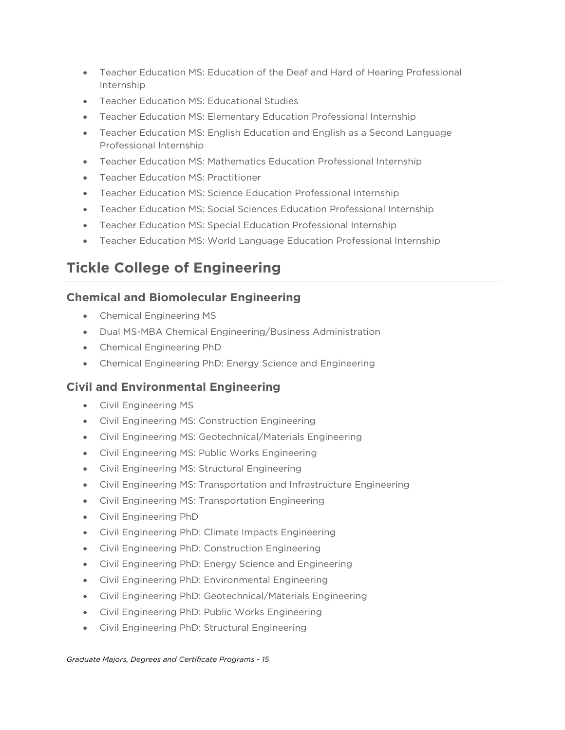- Teacher Education MS: Education of the Deaf and Hard of Hearing Professional Internship
- Teacher Education MS: Educational Studies
- Teacher Education MS: Elementary Education Professional Internship
- Teacher Education MS: English Education and English as a Second Language Professional Internship
- Teacher Education MS: Mathematics Education Professional Internship
- Teacher Education MS: Practitioner
- Teacher Education MS: Science Education Professional Internship
- Teacher Education MS: Social Sciences Education Professional Internship
- Teacher Education MS: Special Education Professional Internship
- Teacher Education MS: World Language Education Professional Internship

## **Tickle College of Engineering**

## **Chemical and Biomolecular Engineering**

- Chemical Engineering MS
- Dual MS-MBA Chemical Engineering/Business Administration
- Chemical Engineering PhD
- Chemical Engineering PhD: Energy Science and Engineering

## **Civil and Environmental Engineering**

- Civil Engineering MS
- Civil Engineering MS: Construction Engineering
- Civil Engineering MS: Geotechnical/Materials Engineering
- Civil Engineering MS: Public Works Engineering
- Civil Engineering MS: Structural Engineering
- Civil Engineering MS: Transportation and Infrastructure Engineering
- Civil Engineering MS: Transportation Engineering
- Civil Engineering PhD
- Civil Engineering PhD: Climate Impacts Engineering
- Civil Engineering PhD: Construction Engineering
- Civil Engineering PhD: Energy Science and Engineering
- Civil Engineering PhD: Environmental Engineering
- Civil Engineering PhD: Geotechnical/Materials Engineering
- Civil Engineering PhD: Public Works Engineering
- Civil Engineering PhD: Structural Engineering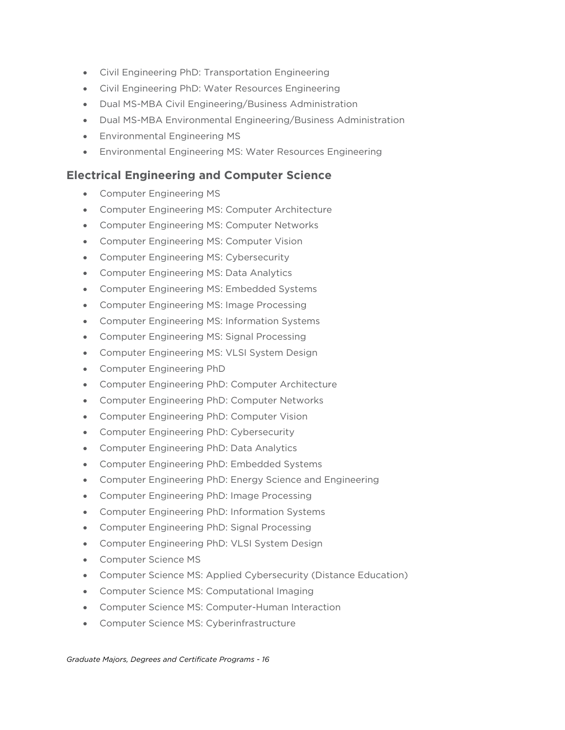- Civil Engineering PhD: Transportation Engineering
- Civil Engineering PhD: Water Resources Engineering
- Dual MS-MBA Civil Engineering/Business Administration
- Dual MS-MBA Environmental Engineering/Business Administration
- Environmental Engineering MS
- Environmental Engineering MS: Water Resources Engineering

#### **Electrical Engineering and Computer Science**

- Computer Engineering MS
- Computer Engineering MS: Computer Architecture
- Computer Engineering MS: Computer Networks
- Computer Engineering MS: Computer Vision
- Computer Engineering MS: Cybersecurity
- Computer Engineering MS: Data Analytics
- Computer Engineering MS: Embedded Systems
- Computer Engineering MS: Image Processing
- Computer Engineering MS: Information Systems
- Computer Engineering MS: Signal Processing
- Computer Engineering MS: VLSI System Design
- Computer Engineering PhD
- Computer Engineering PhD: Computer Architecture
- Computer Engineering PhD: Computer Networks
- Computer Engineering PhD: Computer Vision
- Computer Engineering PhD: Cybersecurity
- Computer Engineering PhD: Data Analytics
- Computer Engineering PhD: Embedded Systems
- Computer Engineering PhD: Energy Science and Engineering
- Computer Engineering PhD: Image Processing
- Computer Engineering PhD: Information Systems
- Computer Engineering PhD: Signal Processing
- Computer Engineering PhD: VLSI System Design
- Computer Science MS
- Computer Science MS: Applied Cybersecurity (Distance Education)
- Computer Science MS: Computational Imaging
- Computer Science MS: Computer-Human Interaction
- Computer Science MS: Cyberinfrastructure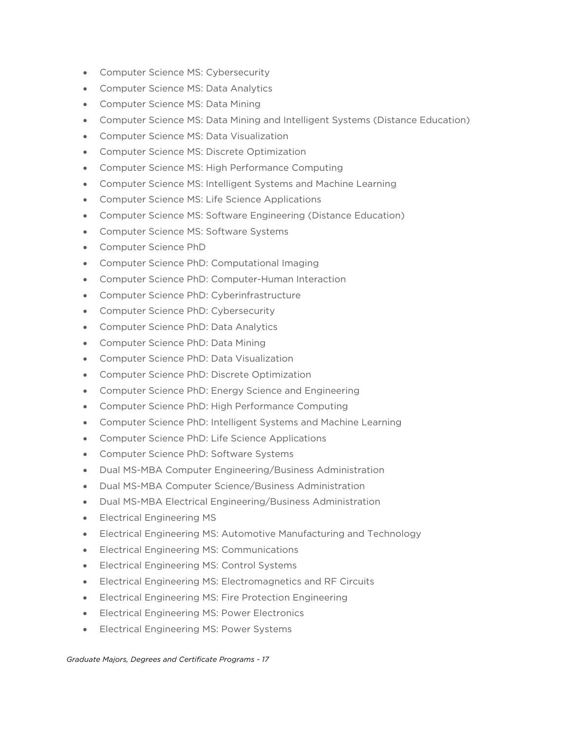- Computer Science MS: Cybersecurity
- Computer Science MS: Data Analytics
- Computer Science MS: Data Mining
- Computer Science MS: Data Mining and Intelligent Systems (Distance Education)
- Computer Science MS: Data Visualization
- Computer Science MS: Discrete Optimization
- Computer Science MS: High Performance Computing
- Computer Science MS: Intelligent Systems and Machine Learning
- Computer Science MS: Life Science Applications
- Computer Science MS: Software Engineering (Distance Education)
- Computer Science MS: Software Systems
- Computer Science PhD
- Computer Science PhD: Computational Imaging
- Computer Science PhD: Computer-Human Interaction
- Computer Science PhD: Cyberinfrastructure
- Computer Science PhD: Cybersecurity
- Computer Science PhD: Data Analytics
- Computer Science PhD: Data Mining
- Computer Science PhD: Data Visualization
- Computer Science PhD: Discrete Optimization
- Computer Science PhD: Energy Science and Engineering
- Computer Science PhD: High Performance Computing
- Computer Science PhD: Intelligent Systems and Machine Learning
- Computer Science PhD: Life Science Applications
- Computer Science PhD: Software Systems
- Dual MS-MBA Computer Engineering/Business Administration
- Dual MS-MBA Computer Science/Business Administration
- Dual MS-MBA Electrical Engineering/Business Administration
- Electrical Engineering MS
- Electrical Engineering MS: Automotive Manufacturing and Technology
- Electrical Engineering MS: Communications
- Electrical Engineering MS: Control Systems
- Electrical Engineering MS: Electromagnetics and RF Circuits
- Electrical Engineering MS: Fire Protection Engineering
- Electrical Engineering MS: Power Electronics
- Electrical Engineering MS: Power Systems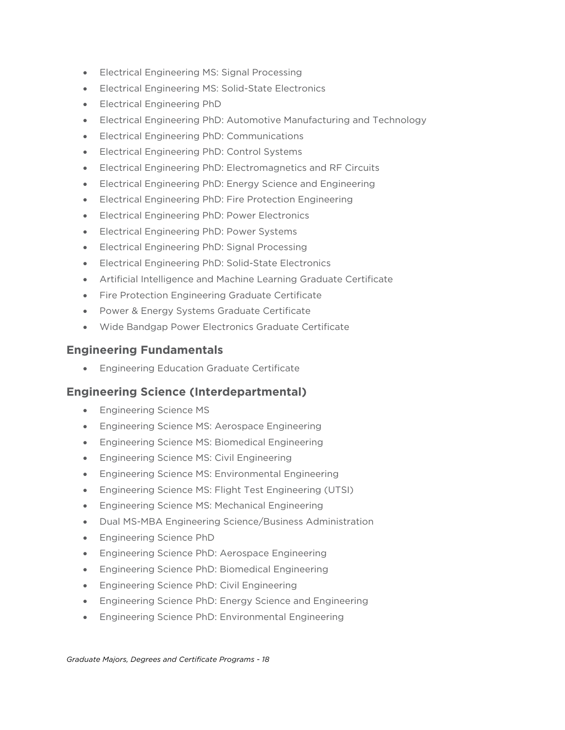- Electrical Engineering MS: Signal Processing
- Electrical Engineering MS: Solid-State Electronics
- Electrical Engineering PhD
- Electrical Engineering PhD: Automotive Manufacturing and Technology
- Electrical Engineering PhD: Communications
- Electrical Engineering PhD: Control Systems
- Electrical Engineering PhD: Electromagnetics and RF Circuits
- Electrical Engineering PhD: Energy Science and Engineering
- Electrical Engineering PhD: Fire Protection Engineering
- Electrical Engineering PhD: Power Electronics
- Electrical Engineering PhD: Power Systems
- Electrical Engineering PhD: Signal Processing
- Electrical Engineering PhD: Solid-State Electronics
- Artificial Intelligence and Machine Learning Graduate Certificate
- Fire Protection Engineering Graduate Certificate
- Power & Energy Systems Graduate Certificate
- Wide Bandgap Power Electronics Graduate Certificate

#### **Engineering Fundamentals**

• Engineering Education Graduate Certificate

#### **Engineering Science (Interdepartmental)**

- Engineering Science MS
- Engineering Science MS: Aerospace Engineering
- Engineering Science MS: Biomedical Engineering
- Engineering Science MS: Civil Engineering
- Engineering Science MS: Environmental Engineering
- Engineering Science MS: Flight Test Engineering (UTSI)
- Engineering Science MS: Mechanical Engineering
- Dual MS-MBA Engineering Science/Business Administration
- Engineering Science PhD
- Engineering Science PhD: Aerospace Engineering
- Engineering Science PhD: Biomedical Engineering
- Engineering Science PhD: Civil Engineering
- Engineering Science PhD: Energy Science and Engineering
- Engineering Science PhD: Environmental Engineering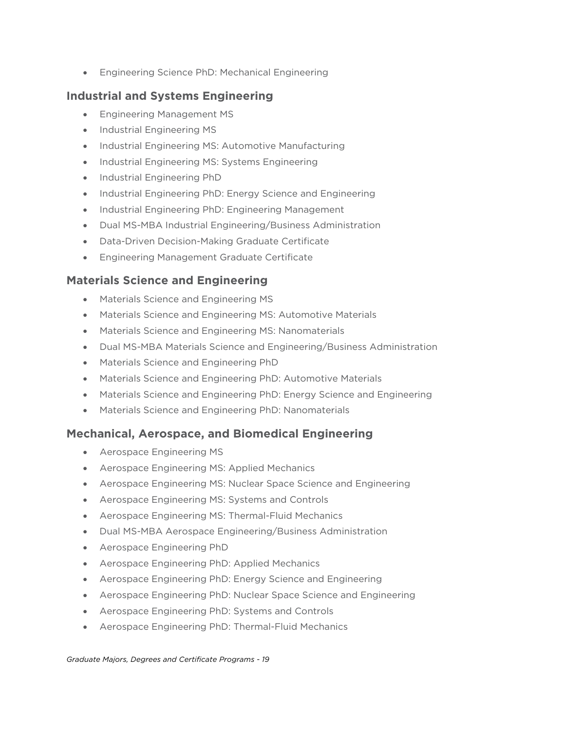• Engineering Science PhD: Mechanical Engineering

## **Industrial and Systems Engineering**

- Engineering Management MS
- Industrial Engineering MS
- Industrial Engineering MS: Automotive Manufacturing
- Industrial Engineering MS: Systems Engineering
- Industrial Engineering PhD
- Industrial Engineering PhD: Energy Science and Engineering
- Industrial Engineering PhD: Engineering Management
- Dual MS-MBA Industrial Engineering/Business Administration
- Data-Driven Decision-Making Graduate Certificate
- Engineering Management Graduate Certificate

## **Materials Science and Engineering**

- Materials Science and Engineering MS
- Materials Science and Engineering MS: Automotive Materials
- Materials Science and Engineering MS: Nanomaterials
- Dual MS-MBA Materials Science and Engineering/Business Administration
- Materials Science and Engineering PhD
- Materials Science and Engineering PhD: Automotive Materials
- Materials Science and Engineering PhD: Energy Science and Engineering
- Materials Science and Engineering PhD: Nanomaterials

## **Mechanical, Aerospace, and Biomedical Engineering**

- Aerospace Engineering MS
- Aerospace Engineering MS: Applied Mechanics
- Aerospace Engineering MS: Nuclear Space Science and Engineering
- Aerospace Engineering MS: Systems and Controls
- Aerospace Engineering MS: Thermal-Fluid Mechanics
- Dual MS-MBA Aerospace Engineering/Business Administration
- Aerospace Engineering PhD
- Aerospace Engineering PhD: Applied Mechanics
- Aerospace Engineering PhD: Energy Science and Engineering
- Aerospace Engineering PhD: Nuclear Space Science and Engineering
- Aerospace Engineering PhD: Systems and Controls
- Aerospace Engineering PhD: Thermal-Fluid Mechanics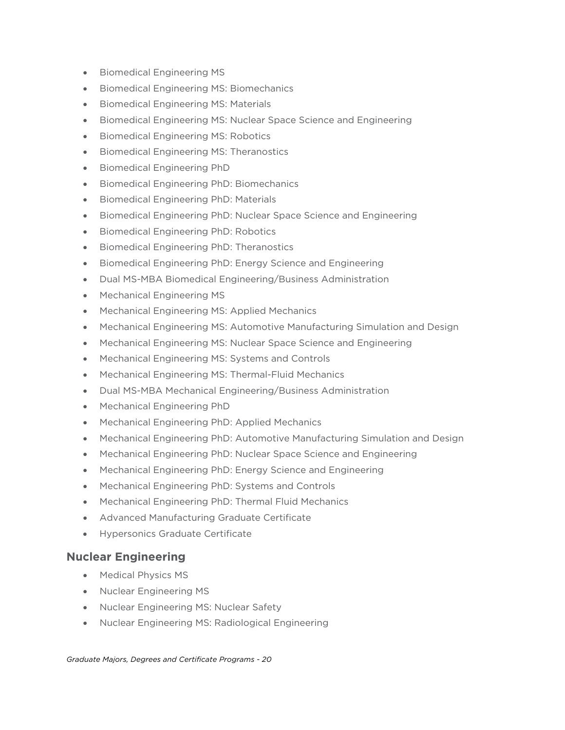- Biomedical Engineering MS
- Biomedical Engineering MS: Biomechanics
- Biomedical Engineering MS: Materials
- Biomedical Engineering MS: Nuclear Space Science and Engineering
- Biomedical Engineering MS: Robotics
- Biomedical Engineering MS: Theranostics
- Biomedical Engineering PhD
- Biomedical Engineering PhD: Biomechanics
- Biomedical Engineering PhD: Materials
- Biomedical Engineering PhD: Nuclear Space Science and Engineering
- Biomedical Engineering PhD: Robotics
- Biomedical Engineering PhD: Theranostics
- Biomedical Engineering PhD: Energy Science and Engineering
- Dual MS-MBA Biomedical Engineering/Business Administration
- Mechanical Engineering MS
- Mechanical Engineering MS: Applied Mechanics
- Mechanical Engineering MS: Automotive Manufacturing Simulation and Design
- Mechanical Engineering MS: Nuclear Space Science and Engineering
- Mechanical Engineering MS: Systems and Controls
- Mechanical Engineering MS: Thermal-Fluid Mechanics
- Dual MS-MBA Mechanical Engineering/Business Administration
- Mechanical Engineering PhD
- Mechanical Engineering PhD: Applied Mechanics
- Mechanical Engineering PhD: Automotive Manufacturing Simulation and Design
- Mechanical Engineering PhD: Nuclear Space Science and Engineering
- Mechanical Engineering PhD: Energy Science and Engineering
- Mechanical Engineering PhD: Systems and Controls
- Mechanical Engineering PhD: Thermal Fluid Mechanics
- Advanced Manufacturing Graduate Certificate
- Hypersonics Graduate Certificate

#### **Nuclear Engineering**

- Medical Physics MS
- Nuclear Engineering MS
- Nuclear Engineering MS: Nuclear Safety
- Nuclear Engineering MS: Radiological Engineering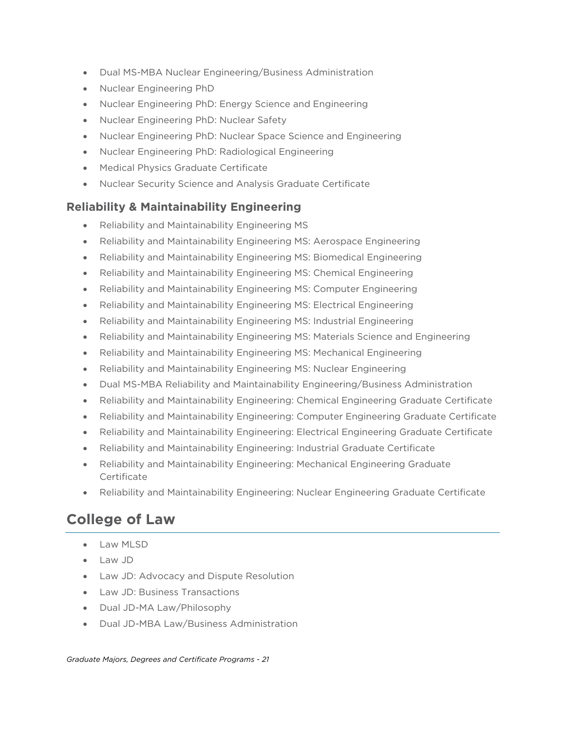- Dual MS-MBA Nuclear Engineering/Business Administration
- Nuclear Engineering PhD
- Nuclear Engineering PhD: Energy Science and Engineering
- Nuclear Engineering PhD: Nuclear Safety
- Nuclear Engineering PhD: Nuclear Space Science and Engineering
- Nuclear Engineering PhD: Radiological Engineering
- Medical Physics Graduate Certificate
- Nuclear Security Science and Analysis Graduate Certificate

#### **Reliability & Maintainability Engineering**

- Reliability and Maintainability Engineering MS
- Reliability and Maintainability Engineering MS: Aerospace Engineering
- Reliability and Maintainability Engineering MS: Biomedical Engineering
- Reliability and Maintainability Engineering MS: Chemical Engineering
- Reliability and Maintainability Engineering MS: Computer Engineering
- Reliability and Maintainability Engineering MS: Electrical Engineering
- Reliability and Maintainability Engineering MS: Industrial Engineering
- Reliability and Maintainability Engineering MS: Materials Science and Engineering
- Reliability and Maintainability Engineering MS: Mechanical Engineering
- Reliability and Maintainability Engineering MS: Nuclear Engineering
- Dual MS-MBA Reliability and Maintainability Engineering/Business Administration
- Reliability and Maintainability Engineering: Chemical Engineering Graduate Certificate
- Reliability and Maintainability Engineering: Computer Engineering Graduate Certificate
- Reliability and Maintainability Engineering: Electrical Engineering Graduate Certificate
- Reliability and Maintainability Engineering: Industrial Graduate Certificate
- Reliability and Maintainability Engineering: Mechanical Engineering Graduate **Certificate**
- Reliability and Maintainability Engineering: Nuclear Engineering Graduate Certificate

## **College of Law**

- Law MLSD
- Law JD
- Law JD: Advocacy and Dispute Resolution
- Law JD: Business Transactions
- Dual JD-MA Law/Philosophy
- Dual JD-MBA Law/Business Administration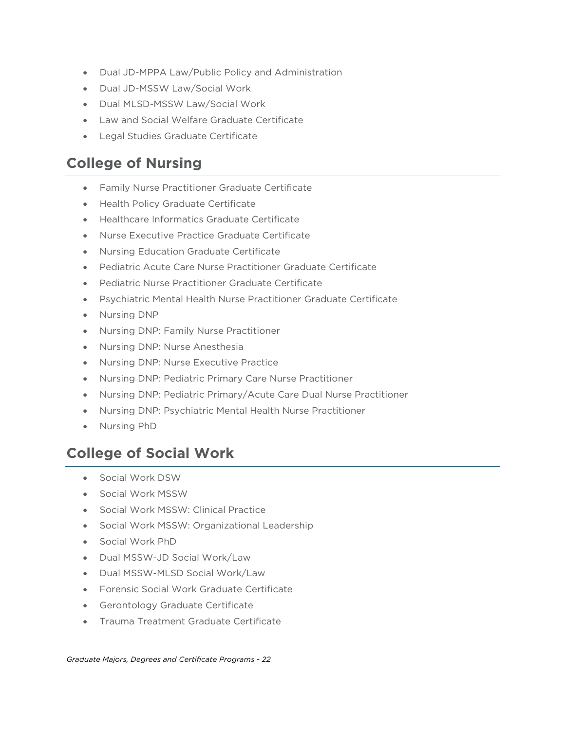- Dual JD-MPPA Law/Public Policy and Administration
- Dual JD-MSSW Law/Social Work
- Dual MLSD-MSSW Law/Social Work
- Law and Social Welfare Graduate Certificate
- Legal Studies Graduate Certificate

## **College of Nursing**

- Family Nurse Practitioner Graduate Certificate
- Health Policy Graduate Certificate
- Healthcare Informatics Graduate Certificate
- Nurse Executive Practice Graduate Certificate
- Nursing Education Graduate Certificate
- Pediatric Acute Care Nurse Practitioner Graduate Certificate
- Pediatric Nurse Practitioner Graduate Certificate
- Psychiatric Mental Health Nurse Practitioner Graduate Certificate
- Nursing DNP
- Nursing DNP: Family Nurse Practitioner
- Nursing DNP: Nurse Anesthesia
- Nursing DNP: Nurse Executive Practice
- Nursing DNP: Pediatric Primary Care Nurse Practitioner
- Nursing DNP: Pediatric Primary/Acute Care Dual Nurse Practitioner
- Nursing DNP: Psychiatric Mental Health Nurse Practitioner
- Nursing PhD

## **College of Social Work**

- Social Work DSW
- Social Work MSSW
- Social Work MSSW: Clinical Practice
- Social Work MSSW: Organizational Leadership
- Social Work PhD
- Dual MSSW-JD Social Work/Law
- Dual MSSW-MLSD Social Work/Law
- Forensic Social Work Graduate Certificate
- Gerontology Graduate Certificate
- Trauma Treatment Graduate Certificate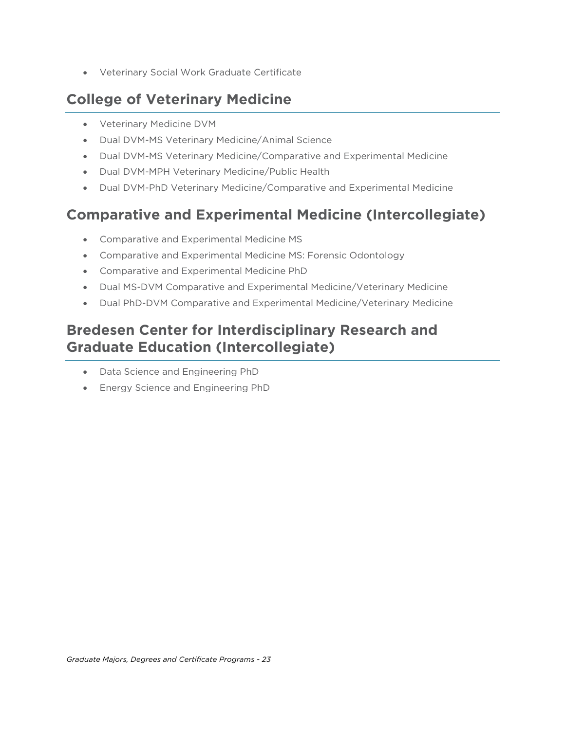• Veterinary Social Work Graduate Certificate

## **College of Veterinary Medicine**

- Veterinary Medicine DVM
- Dual DVM-MS Veterinary Medicine/Animal Science
- Dual DVM-MS Veterinary Medicine/Comparative and Experimental Medicine
- Dual DVM-MPH Veterinary Medicine/Public Health
- Dual DVM-PhD Veterinary Medicine/Comparative and Experimental Medicine

## **Comparative and Experimental Medicine (Intercollegiate)**

- Comparative and Experimental Medicine MS
- Comparative and Experimental Medicine MS: Forensic Odontology
- Comparative and Experimental Medicine PhD
- Dual MS-DVM Comparative and Experimental Medicine/Veterinary Medicine
- Dual PhD-DVM Comparative and Experimental Medicine/Veterinary Medicine

## **Bredesen Center for Interdisciplinary Research and Graduate Education (Intercollegiate)**

- Data Science and Engineering PhD
- Energy Science and Engineering PhD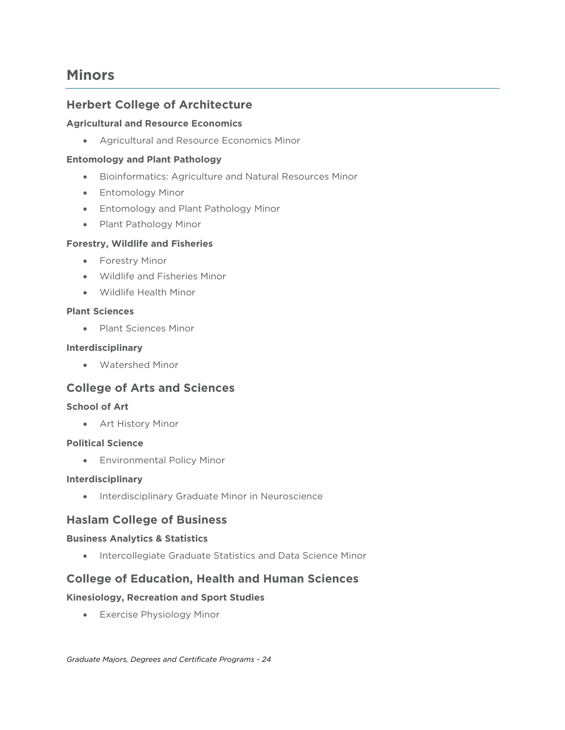## **Minors**

#### **Herbert College of Architecture**

#### **Agricultural and Resource Economics**

• Agricultural and Resource Economics Minor

#### **Entomology and Plant Pathology**

- Bioinformatics: Agriculture and Natural Resources Minor
- Entomology Minor
- Entomology and Plant Pathology Minor
- Plant Pathology Minor

#### **Forestry, Wildlife and Fisheries**

- Forestry Minor
- Wildlife and Fisheries Minor
- Wildlife Health Minor

#### **Plant Sciences**

• Plant Sciences Minor

#### **Interdisciplinary**

• Watershed Minor

## **College of Arts and Sciences**

#### **School of Art**

• Art History Minor

#### **Political Science**

• Environmental Policy Minor

#### **Interdisciplinary**

• Interdisciplinary Graduate Minor in Neuroscience

#### **Haslam College of Business**

#### **Business Analytics & Statistics**

• Intercollegiate Graduate Statistics and Data Science Minor

#### **College of Education, Health and Human Sciences**

#### **Kinesiology, Recreation and Sport Studies**

• Exercise Physiology Minor